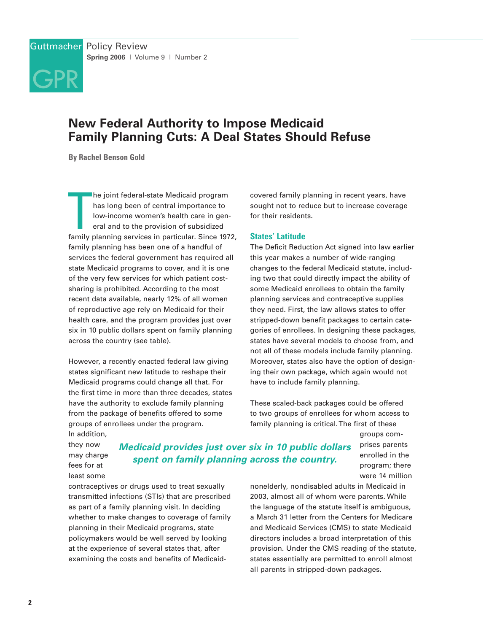

# **New Federal Authority to Impose Medicaid Family Planning Cuts: A Deal States Should Refuse**

**By Rachel Benson Gold**

The joint federal-state Medicaid program<br>has long been of central importance to<br>low-income women's health care in gen-<br>eral and to the provision of subsidized<br>family planning services in particular. Since 1972, he joint federal-state Medicaid program has long been of central importance to low-income women's health care in general and to the provision of subsidized family planning has been one of a handful of services the federal government has required all state Medicaid programs to cover, and it is one of the very few services for which patient costsharing is prohibited. According to the most recent data available, nearly 12% of all women of reproductive age rely on Medicaid for their health care, and the program provides just over six in 10 public dollars spent on family planning across the country (see table).

However, a recently enacted federal law giving states significant new latitude to reshape their Medicaid programs could change all that. For the first time in more than three decades, states have the authority to exclude family planning from the package of benefits offered to some groups of enrollees under the program.

In addition, they now may charge fees for at least some

**Medicaid provides just over six in 10 public dollars spent on family planning across the country.**

contraceptives or drugs used to treat sexually transmitted infections (STIs) that are prescribed as part of a family planning visit. In deciding whether to make changes to coverage of family planning in their Medicaid programs, state policymakers would be well served by looking at the experience of several states that, after examining the costs and benefits of Medicaidcovered family planning in recent years, have sought not to reduce but to increase coverage for their residents.

### **States' Latitude**

The Deficit Reduction Act signed into law earlier this year makes a number of wide-ranging changes to the federal Medicaid statute, including two that could directly impact the ability of some Medicaid enrollees to obtain the family planning services and contraceptive supplies they need. First, the law allows states to offer stripped-down benefit packages to certain categories of enrollees. In designing these packages, states have several models to choose from, and not all of these models include family planning. Moreover, states also have the option of designing their own package, which again would not have to include family planning.

These scaled-back packages could be offered to two groups of enrollees for whom access to family planning is critical. The first of these

> groups comprises parents enrolled in the program; there were 14 million

nonelderly, nondisabled adults in Medicaid in 2003, almost all of whom were parents. While the language of the statute itself is ambiguous, a March 31 letter from the Centers for Medicare and Medicaid Services (CMS) to state Medicaid directors includes a broad interpretation of this provision. Under the CMS reading of the statute, states essentially are permitted to enroll almost all parents in stripped-down packages.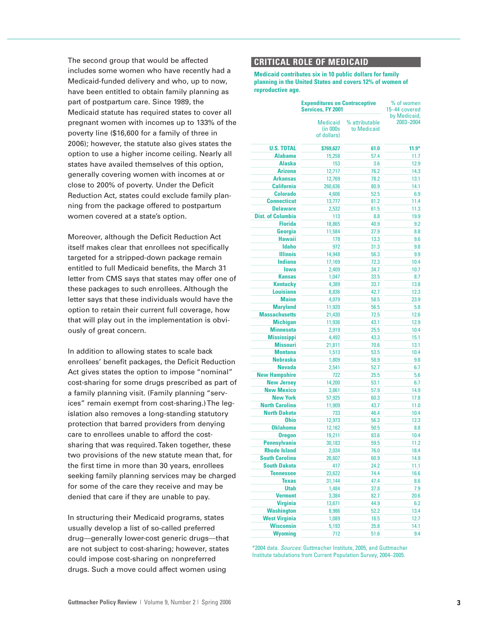The second group that would be affected includes some women who have recently had a Medicaid-funded delivery and who, up to now, have been entitled to obtain family planning as part of postpartum care. Since 1989, the Medicaid statute has required states to cover all pregnant women with incomes up to 133% of the poverty line (\$16,600 for a family of three in 2006); however, the statute also gives states the option to use a higher income ceiling. Nearly all states have availed themselves of this option, generally covering women with incomes at or close to 200% of poverty. Under the Deficit Reduction Act, states could exclude family planning from the package offered to postpartum women covered at a state's option.

Moreover, although the Deficit Reduction Act itself makes clear that enrollees not specifically targeted for a stripped-down package remain entitled to full Medicaid benefits, the March 31 letter from CMS says that states may offer one of these packages to such enrollees. Although the letter says that these individuals would have the option to retain their current full coverage, how that will play out in the implementation is obviously of great concern.

In addition to allowing states to scale back enrollees' benefit packages, the Deficit Reduction Act gives states the option to impose "nominal" cost-sharing for some drugs prescribed as part of a family planning visit. (Family planning "services" remain exempt from cost-sharing.) The legislation also removes a long-standing statutory protection that barred providers from denying care to enrollees unable to afford the costsharing that was required. Taken together, these two provisions of the new statute mean that, for the first time in more than 30 years, enrollees seeking family planning services may be charged for some of the care they receive and may be denied that care if they are unable to pay.

In structuring their Medicaid programs, states usually develop a list of so-called preferred drug—generally lower-cost generic drugs—that are not subject to cost-sharing; however, states could impose cost-sharing on nonpreferred drugs. Such a move could affect women using

### **CRITICAL ROLE OF MEDICAID**

**Medicaid contributes six in 10 public dollars for family planning in the United States and covers 12% of women of reproductive age.**

|                                       | <b>Expenditures on Contraceptive</b><br>Services, FY 2001 | % of women<br>15-44 covered   |                           |  |
|---------------------------------------|-----------------------------------------------------------|-------------------------------|---------------------------|--|
|                                       | <b>Medicaid</b><br>(in 000s<br>of dollars)                | % attributable<br>to Medicaid | by Medicaid,<br>2003-2004 |  |
| <b>U.S. TOTAL</b>                     | \$769,627                                                 | 61.0                          | $11.9*$                   |  |
| <b>Alabama</b>                        | 15,258                                                    | 57.4                          | 11.7                      |  |
| <b>Alaska</b>                         | 153                                                       | 3.6                           | 12.9                      |  |
| <b>Arizona</b>                        | 12,717                                                    | 76.2                          | 14.3                      |  |
| <b>Arkansas</b>                       | 12,769                                                    | 78.2                          | 13.1                      |  |
| <b>California</b>                     | 260,636                                                   | 80.9                          | 14.1                      |  |
| <b>Colorado</b>                       | 4,606                                                     | 52.5                          | 6.9                       |  |
| <b>Connecticut</b>                    | 13,777                                                    | 81.2                          | 11.4                      |  |
| <b>Delaware</b>                       | 2,532                                                     | 61.5                          | 11.3                      |  |
| <b>Dist. of Columbia</b>              | 113                                                       | 8.8                           | 19.9                      |  |
| <b>Florida</b>                        | 18,865                                                    | 40.9                          | 9.2                       |  |
| Georgia                               | 11,584                                                    | 27.9                          | 8.8                       |  |
| <b>Hawaii</b>                         | 178                                                       | 13.3                          | 9.6                       |  |
| <b>Idaho</b>                          | 972                                                       | 31.3                          | 9.8                       |  |
| <b>Illinois</b>                       | 14,948                                                    | 56.3                          | 9.9                       |  |
| <b>Indiana</b>                        | 17,169                                                    | 72.3                          | 10.4                      |  |
| lowa                                  | 2,409                                                     | 34.7                          | 10.7                      |  |
| <b>Kansas</b>                         | 1,047                                                     | 33.5                          | 8.7                       |  |
| <b>Kentucky</b>                       | 4,389                                                     | 33.7                          | 13.8                      |  |
| <b>Louisiana</b>                      | 8,836                                                     | 42.7                          | 12.3                      |  |
| <b>Maine</b>                          | 4,079                                                     | 58.5                          | 23.9                      |  |
| <b>Maryland</b>                       | 11,920                                                    | 56.5                          | 5.8                       |  |
| <b>Massachusetts</b>                  | 21,430                                                    | 72.5                          | 12.6                      |  |
| <b>Michigan</b><br><b>Minnesota</b>   | 11,936                                                    | 43.1                          | 12.9                      |  |
|                                       | 2,919                                                     | 25.5                          | 10.4                      |  |
| <b>Mississippi</b><br><b>Missouri</b> | 4,492<br>21,811                                           | 43.3<br>70.6                  | 15.1<br>13.1              |  |
| <b>Montana</b>                        | 1,513                                                     | 53.5                          | 10.4                      |  |
| <b>Nebraska</b>                       | 1,809                                                     | 58.9                          | 9.8                       |  |
| <b>Nevada</b>                         | 2,541                                                     | 52.7                          | 6.7                       |  |
| <b>New Hampshire</b>                  | 722                                                       | 25.5                          | 5.6                       |  |
| <b>New Jersey</b>                     | 14,200                                                    | 53.1                          | 6.7                       |  |
| <b>New Mexico</b>                     | 3,861                                                     | 57.9                          | 14.9                      |  |
| <b>New York</b>                       | 57,925                                                    | 60.3                          | 17.8                      |  |
| <b>North Carolina</b>                 | 11,909                                                    | 43.7                          | 11.0                      |  |
| <b>North Dakota</b>                   | 733                                                       | 46.4                          | 10.4                      |  |
| <b>Ohio</b>                           | 12,973                                                    | 56.3                          | 12.3                      |  |
| <b>Oklahoma</b>                       | 12,162                                                    | 50.5                          | 8.8                       |  |
| <b>Oregon</b>                         | 19,211                                                    | 83.6                          | 10.4                      |  |
| <b>Pennsylvania</b>                   | 30,183                                                    | 59.5                          | 11.2                      |  |
| <b>Rhode Island</b>                   | 2,034                                                     | 76.0                          | 18.4                      |  |
| <b>South Carolina</b>                 | 26,607                                                    | 60.9                          | 14.9                      |  |
| <b>South Dakota</b>                   | 417                                                       | 24.2                          | 11.1                      |  |
| <b>Tennessee</b>                      | 23,622                                                    | 74.4                          | 16.6                      |  |
| <b>Texas</b>                          | 31,144                                                    | 47.4                          | 8.6                       |  |
| <b>Utah</b>                           | 1,484                                                     | 37.8                          | 7.9                       |  |
| <b>Vermont</b>                        | 3,384                                                     | 82.7                          | 20.6                      |  |
| <b>Virginia</b>                       | 13,671                                                    | 44.9                          | 6.2                       |  |
| <b>Washington</b>                     | 8,986                                                     | 52.2                          | 13.4                      |  |
| <b>West Virginia</b>                  | 1,089                                                     | 16.5                          | 12.7                      |  |
| <b>Wisconsin</b>                      | 5,193                                                     | 35.8                          | 14.1                      |  |
| <b>Wyoming</b>                        | 712                                                       | 51.6                          | 9.4                       |  |

\*2004 data. Sources: Guttmacher Institute, 2005, and Guttmacher Institute tabulations from Current Population Survey, 2004–2005.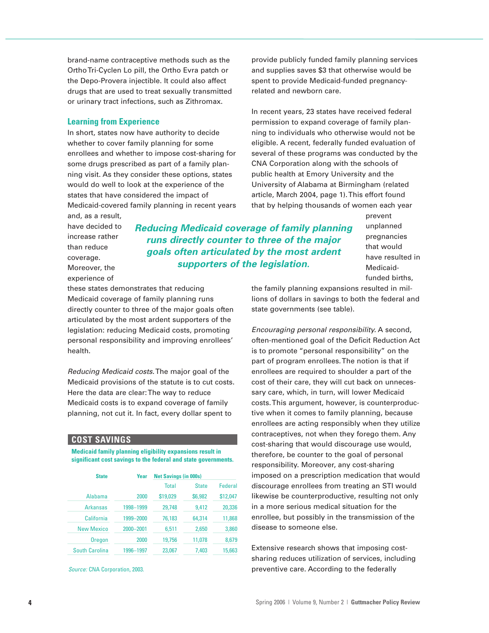brand-name contraceptive methods such as the Ortho Tri-Cyclen Lo pill, the Ortho Evra patch or the Depo-Provera injectible. It could also affect drugs that are used to treat sexually transmitted or urinary tract infections, such as Zithromax.

#### **Learning from Experience**

In short, states now have authority to decide whether to cover family planning for some enrollees and whether to impose cost-sharing for some drugs prescribed as part of a family planning visit. As they consider these options, states would do well to look at the experience of the states that have considered the impact of Medicaid-covered family planning in recent years and, as a result,

provide publicly funded family planning services and supplies saves \$3 that otherwise would be spent to provide Medicaid-funded pregnancyrelated and newborn care.

In recent years, 23 states have received federal permission to expand coverage of family planning to individuals who otherwise would not be eligible. A recent, federally funded evaluation of several of these programs was conducted by the CNA Corporation along with the schools of public health at Emory University and the University of Alabama at Birmingham (related article, March 2004, page 1). This effort found that by helping thousands of women each year

have decided to increase rather than reduce coverage. Moreover, the experience of

### **Reducing Medicaid coverage of family planning runs directly counter to three of the major goals often articulated by the most ardent supporters of the legislation.**

prevent unplanned pregnancies that would have resulted in Medicaidfunded births,

these states demonstrates that reducing Medicaid coverage of family planning runs directly counter to three of the major goals often articulated by the most ardent supporters of the legislation: reducing Medicaid costs, promoting personal responsibility and improving enrollees' health.

Reducing Medicaid costs.The major goal of the Medicaid provisions of the statute is to cut costs. Here the data are clear: The way to reduce Medicaid costs is to expand coverage of family planning, not cut it. In fact, every dollar spent to

### **COST SAVINGS**

**Medicaid family planning eligibility expansions result in significant cost savings to the federal and state governments.**

| <b>State</b>          | Year      | <b>Net Savings (in 000s)</b> |              |                |
|-----------------------|-----------|------------------------------|--------------|----------------|
|                       |           | <b>Total</b>                 | <b>State</b> | <b>Federal</b> |
| Alabama               | 2000      | \$19,029                     | \$6,982      | \$12,047       |
| <b>Arkansas</b>       | 1998-1999 | 29,748                       | 9,412        | 20,336         |
| California            | 1999-2000 | 76,183                       | 64,314       | 11,868         |
| <b>New Mexico</b>     | 2000-2001 | 6,511                        | 2,650        | 3,860          |
| Oregon                | 2000      | 19.756                       | 11,078       | 8,679          |
| <b>South Carolina</b> | 1996-1997 | 23,067                       | 7.403        | 15.663         |

Source: CNA Corporation, 2003.

the family planning expansions resulted in millions of dollars in savings to both the federal and state governments (see table).

Encouraging personal responsibility. A second, often-mentioned goal of the Deficit Reduction Act is to promote "personal responsibility" on the part of program enrollees. The notion is that if enrollees are required to shoulder a part of the cost of their care, they will cut back on unnecessary care, which, in turn, will lower Medicaid costs. This argument, however, is counterproductive when it comes to family planning, because enrollees are acting responsibly when they utilize contraceptives, not when they forego them. Any cost-sharing that would discourage use would, therefore, be counter to the goal of personal responsibility. Moreover, any cost-sharing imposed on a prescription medication that would discourage enrollees from treating an STI would likewise be counterproductive, resulting not only in a more serious medical situation for the enrollee, but possibly in the transmission of the disease to someone else.

Extensive research shows that imposing costsharing reduces utilization of services, including preventive care. According to the federally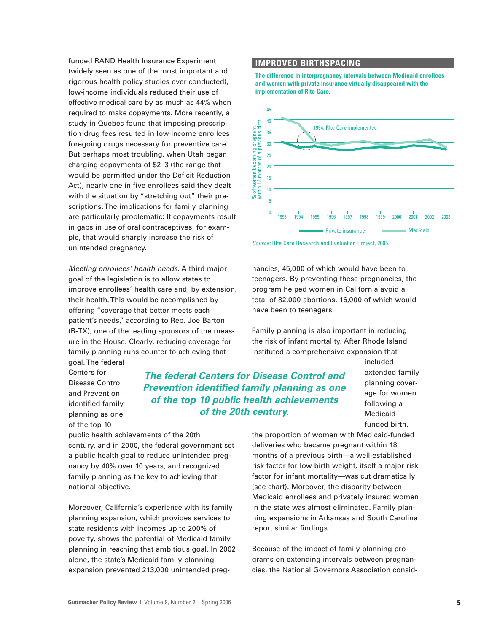funded RAND Health Insurance Experiment (widely seen as one of the most important and rigorous health policy studies ever conducted), low-income individuals reduced their use of effective medical care by as much as 44% when required to make copayments. More recently, a study in Quebec found that imposing prescription-drug fees resulted in low-income enrollees foregoing drugs necessary for preventive care. But perhaps most troubling, when Utah began charging copayments of \$2–3 (the range that would be permitted under the Deficit Reduction Act), nearly one in five enrollees said they dealt with the situation by "stretching out" their prescriptions. The implications for family planning are particularly problematic: If copayments result in gaps in use of oral contraceptives, for example, that would sharply increase the risk of unintended pregnancy.

Meeting enrollees' health needs. A third major goal of the legislation is to allow states to improve enrollees' health care and, by extension, their health. This would be accomplished by offering "coverage that better meets each patient's needs," according to Rep. Joe Barton (R-TX), one of the leading sponsors of the measure in the House. Clearly, reducing coverage for family planning runs counter to achieving that goal. The federal

Centers for Disease Control and Prevention identified family planning as one of the top 10

## **The federal Centers for Disease Control and Prevention identified family planning as one of the top 10 public health achievements of the 20th century.**

public health achievements of the 20th century, and in 2000, the federal government set

a public health goal to reduce unintended pregnancy by 40% over 10 years, and recognized family planning as the key to achieving that national objective.

Moreover, California's experience with its family planning expansion, which provides services to state residents with incomes up to 200% of poverty, shows the potential of Medicaid family planning in reaching that ambitious goal. In 2002 alone, the state's Medicaid family planning expansion prevented 213,000 unintended preg-

### **IMPROVED BIRTHSPACING**

**The difference in interpregnancy intervals between Medicaid enrollees and women with private insurance virtually disappeared with the implementation of RIte Care.**



Source: RIte Care Research and Evaluation Project, 2005.

nancies, 45,000 of which would have been to teenagers. By preventing these pregnancies, the program helped women in California avoid a total of 82,000 abortions, 16,000 of which would have been to teenagers.

Family planning is also important in reducing the risk of infant mortality. After Rhode Island instituted a comprehensive expansion that

> included extended family planning coverage for women following a Medicaidfunded birth,

the proportion of women with Medicaid-funded deliveries who became pregnant within 18 months of a previous birth—a well-established risk factor for low birth weight, itself a major risk factor for infant mortality—was cut dramatically (see chart). Moreover, the disparity between Medicaid enrollees and privately insured women in the state was almost eliminated. Family planning expansions in Arkansas and South Carolina report similar findings.

Because of the impact of family planning programs on extending intervals between pregnancies, the National Governors Association consid